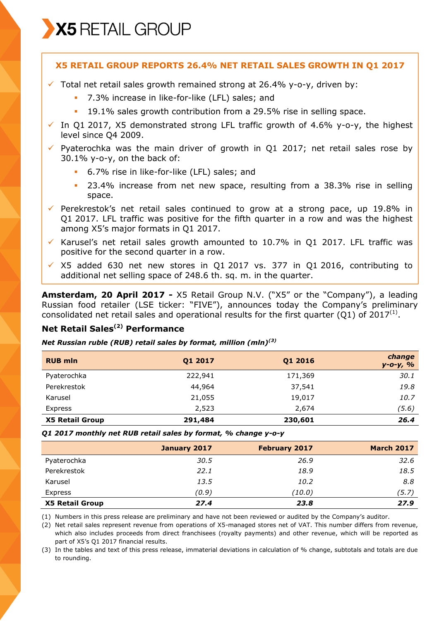

## **X5 RETAIL GROUP REPORTS 26.4% NET RETAIL SALES GROWTH IN Q1 2017**

- $\checkmark$  Total net retail sales growth remained strong at 26.4% y-o-y, driven by:
	- 7.3% increase in like-for-like (LFL) sales; and
	- 19.1% sales growth contribution from a 29.5% rise in selling space.
- $\checkmark$  In Q1 2017, X5 demonstrated strong LFL traffic growth of 4.6% y-o-y, the highest level since Q4 2009.
- $\checkmark$  Pyaterochka was the main driver of growth in Q1 2017; net retail sales rose by 30.1% y-o-y, on the back of:
	- 6.7% rise in like-for-like (LFL) sales; and
	- 23.4% increase from net new space, resulting from a 38.3% rise in selling space.
- $\checkmark$  Perekrestok's net retail sales continued to grow at a strong pace, up 19.8% in Q1 2017. LFL traffic was positive for the fifth quarter in a row and was the highest among X5's major formats in Q1 2017.
- Karusel's net retail sales growth amounted to 10.7% in Q1 2017. LFL traffic was positive for the second quarter in a row.
- $\times$  X5 added 630 net new stores in Q1 2017 vs. 377 in Q1 2016, contributing to additional net selling space of 248.6 th. sq. m. in the quarter.

**Amsterdam, 20 April 2017 -** X5 Retail Group N.V. ("X5" or the "Company"), a leading Russian food retailer (LSE ticker: "FIVE"), announces today the Company's preliminary consolidated net retail sales and operational results for the first quarter (Q1) of 2017<sup>(1)</sup>.

## **Net Retail Sales(2) Performance**

#### *Net Russian ruble (RUB) retail sales by format, million (mln)(3)*

| <b>RUB mln</b>         | Q1 2017 | Q1 2016 | change<br>$y - 0 - y$ , % |
|------------------------|---------|---------|---------------------------|
| Pyaterochka            | 222,941 | 171,369 | 30.1                      |
| Perekrestok            | 44,964  | 37,541  | 19.8                      |
| Karusel                | 21,055  | 19,017  | 10.7                      |
| Express                | 2,523   | 2,674   | (5.6)                     |
| <b>X5 Retail Group</b> | 291,484 | 230,601 | 26.4                      |

*Q1 2017 monthly net RUB retail sales by format, % change y-o-y* 

|                        | January 2017 | <b>February 2017</b> | <b>March 2017</b> |
|------------------------|--------------|----------------------|-------------------|
| Pyaterochka            | 30.5         | 26.9                 | 32.6              |
| Perekrestok            | 22.1         | 18.9                 | 18.5              |
| Karusel                | 13.5         | 10.2                 | 8.8               |
| Express                | (0.9)        | (10.0)               | (5.7)             |
| <b>X5 Retail Group</b> | 27.4         | 23.8                 | 27.9              |

(1) Numbers in this press release are preliminary and have not been reviewed or audited by the Company's auditor.

(2) Net retail sales represent revenue from operations of X5-managed stores net of VAT. This number differs from revenue, which also includes proceeds from direct franchisees (royalty payments) and other revenue, which will be reported as part of X5's Q1 2017 financial results.

(3) In the tables and text of this press release, immaterial deviations in calculation of % change, subtotals and totals are due to rounding.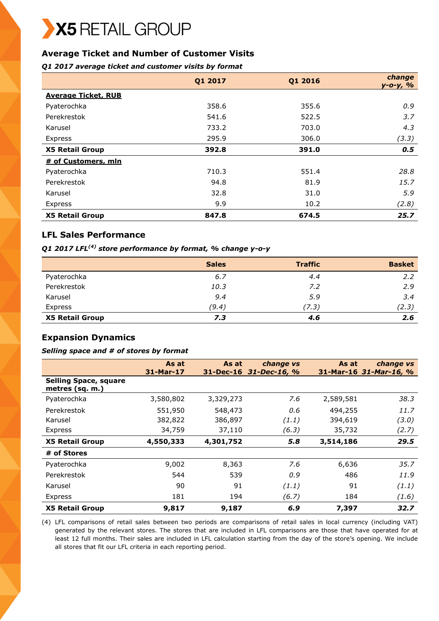# **Average Ticket and Number of Customer Visits**

*Q1 2017 average ticket and customer visits by format*

|                            | Q1 2017 | Q1 2016 | change<br>$y - 0 - y, %$ |
|----------------------------|---------|---------|--------------------------|
| <b>Average Ticket, RUB</b> |         |         |                          |
| Pyaterochka                | 358.6   | 355.6   | 0.9                      |
| Perekrestok                | 541.6   | 522.5   | 3.7                      |
| Karusel                    | 733.2   | 703.0   | 4.3                      |
| Express                    | 295.9   | 306.0   | (3.3)                    |
| <b>X5 Retail Group</b>     | 392.8   | 391.0   | 0.5                      |
| # of Customers, mln        |         |         |                          |
| Pyaterochka                | 710.3   | 551.4   | 28.8                     |
| Perekrestok                | 94.8    | 81.9    | 15.7                     |
| Karusel                    | 32.8    | 31.0    | 5.9                      |
| Express                    | 9.9     | 10.2    | (2.8)                    |
| <b>X5 Retail Group</b>     | 847.8   | 674.5   | 25.7                     |

## **LFL Sales Performance**

*Q1 2017 LFL(4) store performance by format, % change y-o-y*

|                        | <b>Sales</b> | <b>Traffic</b> | <b>Basket</b> |
|------------------------|--------------|----------------|---------------|
| Pyaterochka            | 6.7          | 4.4            | 2.2           |
| Perekrestok            | 10.3         | 7.2            | 2.9           |
| Karusel                | 9.4          | 5.9            | 3.4           |
| Express                | (9.4)        | (7.3)          | (2.3)         |
| <b>X5 Retail Group</b> | 7.3          | 4.6            | 2.6           |

## **Expansion Dynamics**

#### *Selling space and # of stores by format*

|                                                 | As at<br>31-Mar-17 | As at<br>$31 - Dec-16$ | change vs<br>$31 - Dec - 16, %$ | As at     | change vs<br>31-Mar-16 31-Mar-16, % |
|-------------------------------------------------|--------------------|------------------------|---------------------------------|-----------|-------------------------------------|
| <b>Selling Space, square</b><br>metres (sq. m.) |                    |                        |                                 |           |                                     |
| Pyaterochka                                     | 3,580,802          | 3,329,273              | 7.6                             | 2,589,581 | 38.3                                |
| Perekrestok                                     | 551,950            | 548,473                | 0.6                             | 494,255   | 11.7                                |
| Karusel                                         | 382,822            | 386,897                | (1.1)                           | 394,619   | (3.0)                               |
| Express                                         | 34,759             | 37,110                 | (6.3)                           | 35,732    | (2.7)                               |
| <b>X5 Retail Group</b>                          | 4,550,333          | 4,301,752              | 5.8                             | 3,514,186 | 29.5                                |
| # of Stores                                     |                    |                        |                                 |           |                                     |
| Pyaterochka                                     | 9,002              | 8,363                  | 7.6                             | 6,636     | 35.7                                |
| Perekrestok                                     | 544                | 539                    | 0.9                             | 486       | 11.9                                |
| Karusel                                         | 90                 | 91                     | (1.1)                           | 91        | (1.1)                               |
| <b>Express</b>                                  | 181                | 194                    | (6.7)                           | 184       | (1.6)                               |
| <b>X5 Retail Group</b>                          | 9,817              | 9,187                  | 6.9                             | 7,397     | 32.7                                |

(4) LFL comparisons of retail sales between two periods are comparisons of retail sales in local currency (including VAT) generated by the relevant stores. The stores that are included in LFL comparisons are those that have operated for at least 12 full months. Their sales are included in LFL calculation starting from the day of the store's opening. We include all stores that fit our LFL criteria in each reporting period.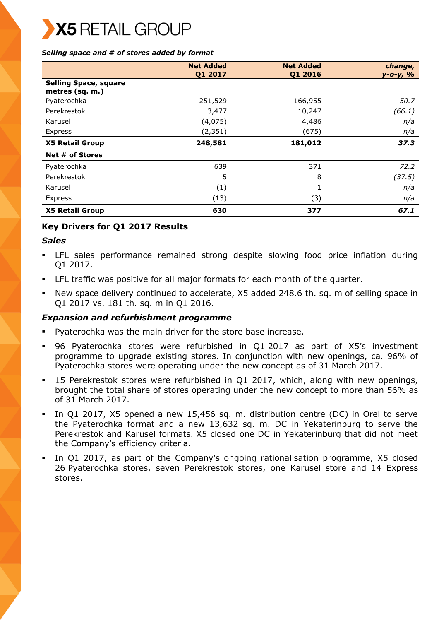#### *Selling space and # of stores added by format*

|                                                 | <b>Net Added</b><br>Q1 2017 | <b>Net Added</b><br>Q1 2016 | change,<br>у-о-у, % |
|-------------------------------------------------|-----------------------------|-----------------------------|---------------------|
| <b>Selling Space, square</b><br>metres (sq. m.) |                             |                             |                     |
| Pyaterochka                                     | 251,529                     | 166,955                     | 50.7                |
| Perekrestok                                     | 3,477                       | 10,247                      | (66.1)              |
| Karusel                                         | (4,075)                     | 4,486                       | n/a                 |
| Express                                         | (2, 351)                    | (675)                       | n/a                 |
| <b>X5 Retail Group</b>                          | 248,581                     | 181,012                     | 37.3                |
| Net # of Stores                                 |                             |                             |                     |
| Pyaterochka                                     | 639                         | 371                         | 72.2                |
| Perekrestok                                     | 5                           | 8                           | (37.5)              |
| Karusel                                         | (1)                         | 1                           | n/a                 |
| Express                                         | (13)                        | (3)                         | n/a                 |
| <b>X5 Retail Group</b>                          | 630                         | 377                         | 67.1                |

## **Key Drivers for Q1 2017 Results**

### *Sales*

- LFL sales performance remained strong despite slowing food price inflation during Q1 2017.
- LFL traffic was positive for all major formats for each month of the quarter.
- New space delivery continued to accelerate, X5 added 248.6 th. sq. m of selling space in Q1 2017 vs. 181 th. sq. m in Q1 2016.

## *Expansion and refurbishment programme*

- Pyaterochka was the main driver for the store base increase.
- 96 Pyaterochka stores were refurbished in Q1 2017 as part of X5's investment programme to upgrade existing stores. In conjunction with new openings, ca. 96% of Pyaterochka stores were operating under the new concept as of 31 March 2017.
- 15 Perekrestok stores were refurbished in Q1 2017, which, along with new openings, brought the total share of stores operating under the new concept to more than 56% as of 31 March 2017.
- In Q1 2017, X5 opened a new 15,456 sq. m. distribution centre (DC) in Orel to serve the Pyaterochka format and a new 13,632 sq. m. DC in Yekaterinburg to serve the Perekrestok and Karusel formats. X5 closed one DC in Yekaterinburg that did not meet the Company's efficiency criteria.
- In Q1 2017, as part of the Company's ongoing rationalisation programme, X5 closed 26 Pyaterochka stores, seven Perekrestok stores, one Karusel store and 14 Express stores.